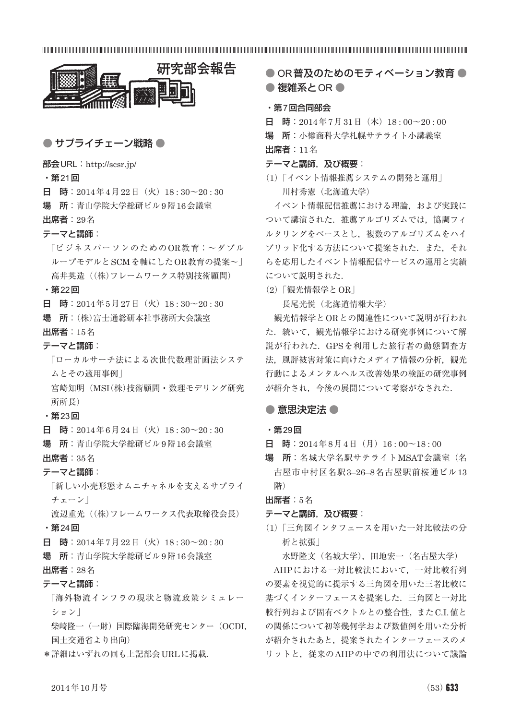

# ● サプライチェーン戦略 ●

部会 URL: http://scsr.jp/

- ・第21回
- 日 時: 2014年4月22日(火) 18:30~20:30

場 所:青山学院大学総研ビル9階16会議室

# 出席者:29名

### テーマと講師:

「ビジネスパーソンのためのOR教育:~ダブル ループモデルとSCMを軸にしたOR教育の提案~」 高井英造((株)フレームワークス特別技術顧問)

・第22回

日 時: 2014年5月27日 (火) 18:30~20:30

場 所:(株)富士通総研本社事務所大会議室

出席者:15名

### テーマと講師:

「ローカルサーチ法による次世代数理計画法システ ムとその適用事例」

宮崎知明(MSI(株)技術顧問・数理モデリング研究 所所長)

- ・第23回
- 日 時: 2014年6月24日 (火) 18:30~20:30

場 所:青山学院大学総研ビル9階16会議室

### 出席者:35名

テーマと講師:

「新しい小売形態オムニチャネルを支えるサプライ チェーン」

渡辺重光((株)フレームワークス代表取締役会長) ・第24回

- 
- 日 時: 2014年7月22日(火) 18:30~20:30
- 場 所:青山学院大学総研ビル9階16会議室
- 出席者:28名

# テーマと講師:

「海外物流インフラの現状と物流政策シミュレー ション」

柴崎隆一(一財)国際臨海開発研究センター(OCDI, 国土交通省より出向)

\*詳細はいずれの回も上記部会URLに掲載.

● OR普及のためのモティベーション教育 ● ● 複雑系とOR ●

### ・第7回合同部会

日 時: 2014年7月31日 (木) 18:00~20:00 場 所:小樽商科大学札幌サテライト小講義室 出席者:11名

### テーマと講師, 及び概要:

(1)「イベント情報推薦システムの開発と運用」 川村秀憲(北海道大学)

イベント情報配信推薦における理論,および実践に ついて講演された.推薦アルゴリズムでは,協調フィ ルタリングをベースとし,複数のアルゴリズムをハイ ブリッド化する方法について提案された. また、それ らを応用したイベント情報配信サービスの運用と実績 について説明された.

(2)「観光情報学とOR」

長尾光悦(北海道情報大学)

観光情報学とORとの関連性について説明が行われ た. 続いて、観光情報学における研究事例について解 説が行われた.GPSを利用した旅行者の動態調査方 法,風評被害対策に向けたメディア情報の分析,観光 行動によるメンタルヘルス改善効果の検証の研究事例 が紹介され,今後の展開について考察がなされた.

# ● 意思決定法 ●

- ・第29回
- 日 時: 2014年8月4日(月) 16:00~18:00
- 場 所:名城大学名駅サテライトMSAT会議室(名 古屋市中村区名駅3–26–8名古屋駅前桜通ビル13 階)

出席者:5名

#### テーマと講師, 及び概要:

(1)「三角図インタフェースを用いた一対比較法の分 析と拡張」

水野隆文(名城大学),田地宏一(名古屋大学)

AHPにおける一対比較法において,一対比較行列 の要素を視覚的に提示する三角図を用いた三者比較に 基づくインターフェースを提案した.三角図と一対比 較行列および固有ベクトルとの整合性,またC.I.値と の関係について初等幾何学および数値例を用いた分析 が紹介されたあと,提案されたインターフェースのメ リットと,従来のAHPの中での利用法について議論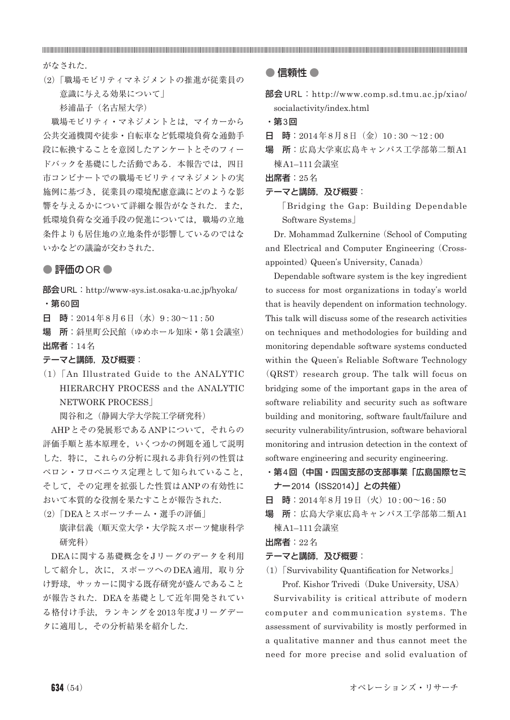がなされた.

(2)「職場モビリティマネジメントの推進が従業員の 意識に与える効果について」 杉浦晶子(名古屋大学)

職場モビリティ・マネジメントとは,マイカーから 公共交通機関や徒歩・自転車など低環境負荷な通勤手 段に転換することを意図したアンケートとそのフィー ドバックを基礎にした活動である. 本報告では、四日 市コンビナートでの職場モビリティマネジメントの実 施例に基づき,従業員の環境配慮意識にどのような影 響を与えるかについて詳細な報告がなされた. また, 低環境負荷な交通手段の促進については、職場の立地 条件よりも居住地の立地条件が影響しているのではな いかなどの議論が交わされた.

# ● 評価のOR ●

部会 URL: http://www-sys.ist.osaka-u.ac.jp/hyoka/ ・第60回

日 時: 2014年8月6日 (水) 9:30~11:50

場 所:斜里町公民館(ゆめホール知床・第1会議室) 出席者:14名

テーマと講師,及び概要:

(1)「An Illustrated Guide to the ANALYTIC HIERARCHY PROCESS and the ANALYTIC NETWORK PROCESS」

関谷和之(静岡大学大学院工学研究科)

AHPとその発展形であるANPについて,それらの 評価手順と基本原理を,いくつかの例題を通して説明 した.特に,これらの分析に現れる非負行列の性質は ペロン・フロベニウス定理として知られていること, そして,その定理を拡張した性質はANPの有効性に おいて本質的な役割を果たすことが報告された.

(2)「DEAとスポーツチーム・選手の評価」 廣津信義(順天堂大学・大学院スポーツ健康科学 研究科)

DEAに関する基礎概念をJリーグのデータを利用 して紹介し、次に、スポーツへのDEA適用,取り分 け野球,サッカーに関する既存研究が盛んであること が報告された.DEAを基礎として近年開発されてい る格付け手法,ランキングを2013年度Jリーグデー タに適用し,その分析結果を紹介した.

# ● 信頼性 ●

- 部会 URL:http://www.comp.sd.tmu.ac.jp/xiao/ socialactivity/index.html
- ・第3回

日 時: 2014年8月8日(金) 10:30 ~12:00

場 所:広島大学東広島キャンパス工学部第二類A1 棟A1–111会議室

出席者:25名

### テーマと講師, 及び概要:

「Bridging the Gap: Building Dependable Software Systems」

Dr. Mohammad Zulkernine (School of Computing and Electrical and Computer Engineering (Crossappointed) Queen's University, Canada)

Dependable software system is the key ingredient to success for most organizations in today's world that is heavily dependent on information technology. This talk will discuss some of the research activities on techniques and methodologies for building and monitoring dependable software systems conducted within the Queen's Reliable Software Technology (QRST) research group. The talk will focus on bridging some of the important gaps in the area of software reliability and security such as software building and monitoring, software fault/failure and security vulnerability/intrusion, software behavioral monitoring and intrusion detection in the context of software engineering and security engineering.

- ・第4回(中国・四国支部の支部事業「広島国際セミ ナー2014(ISS2014)」との共催)
- 日 時: 2014年8月19日(火) 10:00~16:50
- 場 所:広島大学東広島キャンパス工学部第二類A1 棟A1–111会議室

出席者:22名

### テーマと講師, 及び概要:

(1)「Survivability Quantification for Networks」

Prof. Kishor Trivedi (Duke University, USA)

Survivability is critical attribute of modern computer and communication systems. The assessment of survivability is mostly performed in a qualitative manner and thus cannot meet the need for more precise and solid evaluation of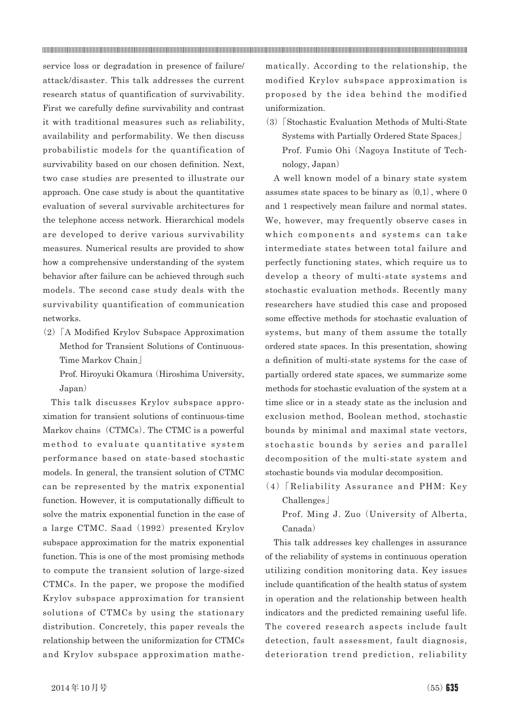service loss or degradation in presence of failure/ attack/disaster. This talk addresses the current research status of quantification of survivability. First we carefully define survivability and contrast it with traditional measures such as reliability, availability and performability. We then discuss probabilistic models for the quantification of survivability based on our chosen definition. Next, two case studies are presented to illustrate our approach. One case study is about the quantitative evaluation of several survivable architectures for the telephone access network. Hierarchical models are developed to derive various survivability measures. Numerical results are provided to show how a comprehensive understanding of the system behavior after failure can be achieved through such models. The second case study deals with the survivability quantification of communication networks.

- (2)「A Modified Krylov Subspace Approximation Method for Transient Solutions of Continuous-Time Markov Chain」
	- Prof. Hiroyuki Okamura (Hiroshima University, Japan)

This talk discusses Krylov subspace approximation for transient solutions of continuous-time Markov chains (CTMCs). The CTMC is a powerful method to evaluate quantitative system performance based on state-based stochastic models. In general, the transient solution of CTMC can be represented by the matrix exponential function. However, it is computationally difficult to solve the matrix exponential function in the case of a large CTMC. Saad (1992) presented Krylov subspace approximation for the matrix exponential function. This is one of the most promising methods to compute the transient solution of large-sized CTMCs. In the paper, we propose the modified Krylov subspace approximation for transient solutions of CTMCs by using the stationary distribution. Concretely, this paper reveals the relationship between the uniformization for CTMCs and Krylov subspace approximation mathematically. According to the relationship, the modified Krylov subspace approximation is proposed by the idea behind the modified uniformization.

(3)「Stochastic Evaluation Methods of Multi-State Systems with Partially Ordered State Spaces」 Prof. Fumio Ohi (Nagoya Institute of Technology, Japan)

A well known model of a binary state system assumes state spaces to be binary as  $\{0,1\}$ , where 0 and 1 respectively mean failure and normal states. We, however, may frequently observe cases in which components and systems can take intermediate states between total failure and perfectly functioning states, which require us to develop a theory of multi-state systems and stochastic evaluation methods. Recently many researchers have studied this case and proposed some effective methods for stochastic evaluation of systems, but many of them assume the totally ordered state spaces. In this presentation, showing a definition of multi-state systems for the case of partially ordered state spaces, we summarize some methods for stochastic evaluation of the system at a time slice or in a steady state as the inclusion and exclusion method, Boolean method, stochastic bounds by minimal and maximal state vectors, stochastic bounds by series and parallel decomposition of the multi-state system and stochastic bounds via modular decomposition.

(4)「Reliability Assurance and PHM: Key Challenges」

Prof. Ming J. Zuo (University of Alberta, Canada)

This talk addresses key challenges in assurance of the reliability of systems in continuous operation utilizing condition monitoring data. Key issues include quantification of the health status of system in operation and the relationship between health indicators and the predicted remaining useful life. The covered research aspects include fault detection, fault assessment, fault diagnosis, deterioration trend prediction, reliability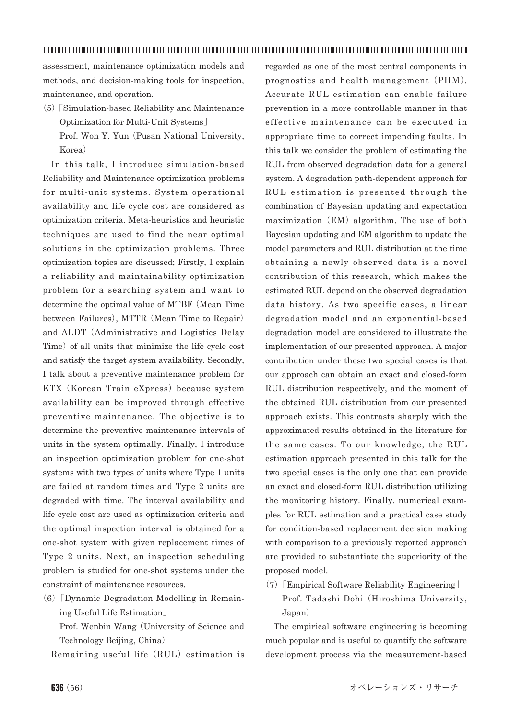assessment, maintenance optimization models and methods, and decision-making tools for inspection, maintenance, and operation.

- (5)「Simulation-based Reliability and Maintenance Optimization for Multi-Unit Systems」
	- Prof. Won Y. Yun (Pusan National University, Korea)

In this talk, I introduce simulation-based Reliability and Maintenance optimization problems for multi-unit systems. System operational availability and life cycle cost are considered as optimization criteria. Meta-heuristics and heuristic techniques are used to find the near optimal solutions in the optimization problems. Three optimization topics are discussed; Firstly, I explain a reliability and maintainability optimization problem for a searching system and want to determine the optimal value of MTBF (Mean Time between Failures), MTTR (Mean Time to Repair) and ALDT (Administrative and Logistics Delay Time) of all units that minimize the life cycle cost and satisfy the target system availability. Secondly, I talk about a preventive maintenance problem for KTX (Korean Train eXpress) because system availability can be improved through effective preventive maintenance. The objective is to determine the preventive maintenance intervals of units in the system optimally. Finally, I introduce an inspection optimization problem for one-shot systems with two types of units where Type 1 units are failed at random times and Type 2 units are degraded with time. The interval availability and life cycle cost are used as optimization criteria and the optimal inspection interval is obtained for a one-shot system with given replacement times of Type 2 units. Next, an inspection scheduling problem is studied for one-shot systems under the constraint of maintenance resources.

(6)「Dynamic Degradation Modelling in Remaining Useful Life Estimation」

Prof. Wenbin Wang (University of Science and Technology Beijing, China)

Remaining useful life (RUL) estimation is

regarded as one of the most central components in prognostics and health management (PHM). Accurate RUL estimation can enable failure prevention in a more controllable manner in that effective maintenance can be executed in appropriate time to correct impending faults. In this talk we consider the problem of estimating the RUL from observed degradation data for a general system. A degradation path-dependent approach for RUL estimation is presented through the combination of Bayesian updating and expectation maximization (EM) algorithm. The use of both Bayesian updating and EM algorithm to update the model parameters and RUL distribution at the time obtaining a newly observed data is a novel contribution of this research, which makes the estimated RUL depend on the observed degradation data history. As two specific cases, a linear degradation model and an exponential-based degradation model are considered to illustrate the implementation of our presented approach. A major contribution under these two special cases is that our approach can obtain an exact and closed-form RUL distribution respectively, and the moment of the obtained RUL distribution from our presented approach exists. This contrasts sharply with the approximated results obtained in the literature for the same cases. To our knowledge, the RUL estimation approach presented in this talk for the two special cases is the only one that can provide an exact and closed-form RUL distribution utilizing the monitoring history. Finally, numerical examples for RUL estimation and a practical case study for condition-based replacement decision making with comparison to a previously reported approach are provided to substantiate the superiority of the proposed model.

(7)「Empirical Software Reliability Engineering」 Prof. Tadashi Dohi (Hiroshima University, Japan)

The empirical software engineering is becoming much popular and is useful to quantify the software development process via the measurement-based